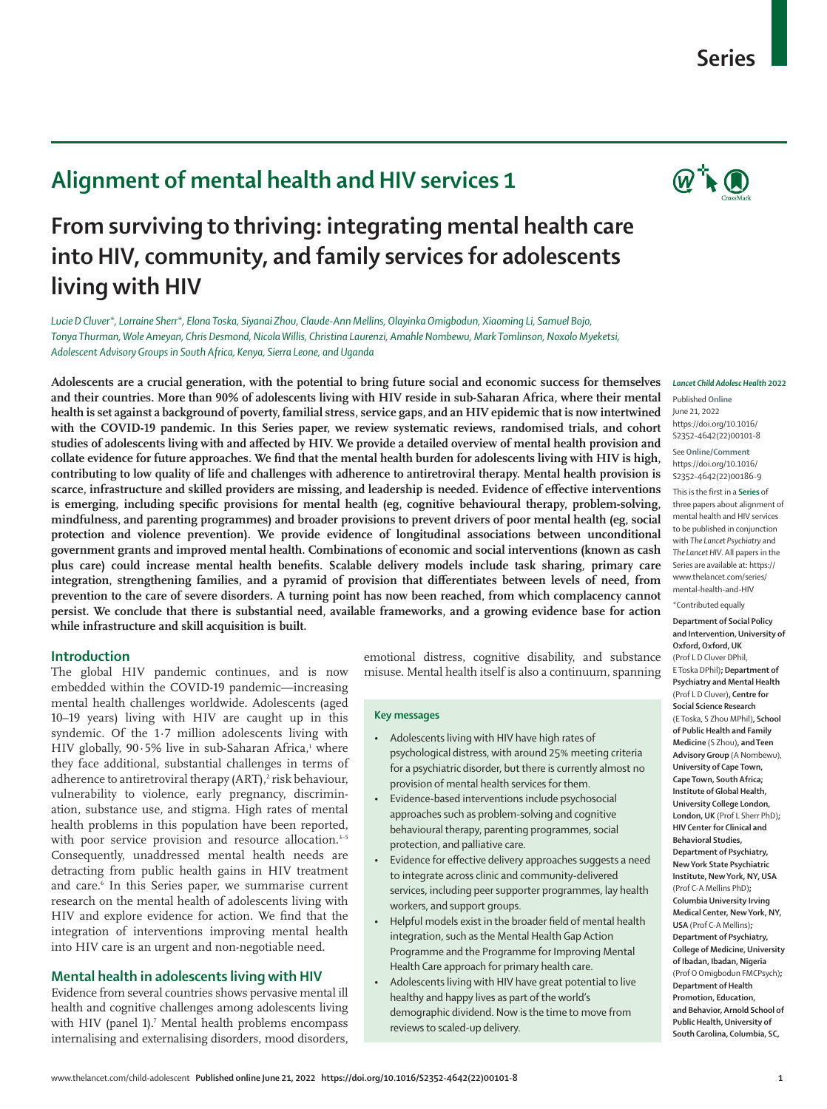# **Alignment of mental health and HIV services 1**

# **From surviving to thriving: integrating mental health care into HIV, community, and family services for adolescents living with HIV**

*Lucie D Cluver\*, Lorraine Sherr\*, Elona Toska, Siyanai Zhou, Claude-Ann Mellins, Olayinka Omigbodun, Xiaoming Li, Samuel Bojo, Tonya Thurman, Wole Ameyan, Chris Desmond, Nicola Willis, Christina Laurenzi, Amahle Nombewu, Mark Tomlinson, Noxolo Myeketsi, Adolescent Advisory Groups in South Africa, Kenya, Sierra Leone, and Uganda*

**Adolescents are a crucial generation, with the potential to bring future social and economic success for themselves and their countries. More than 90% of adolescents living with HIV reside in sub-Saharan Africa, where their mental health is set against a background of poverty, familial stress, service gaps, and an HIV epidemic that is now intertwined with the COVID-19 pandemic. In this Series paper, we review systematic reviews, randomised trials, and cohort studies of adolescents living with and affected by HIV. We provide a detailed overview of mental health provision and collate evidence for future approaches. We find that the mental health burden for adolescents living with HIV is high, contributing to low quality of life and challenges with adherence to antiretroviral therapy. Mental health provision is scarce, infrastructure and skilled providers are missing, and leadership is needed. Evidence of effective interventions is emerging, including specific provisions for mental health (eg, cognitive behavioural therapy, problem-solving, mindfulness, and parenting programmes) and broader provisions to prevent drivers of poor mental health (eg, social protection and violence prevention). We provide evidence of longitudinal associations between unconditional government grants and improved mental health. Combinations of economic and social interventions (known as cash plus care) could increase mental health benefits. Scalable delivery models include task sharing, primary care integration, strengthening families, and a pyramid of provision that differentiates between levels of need, from prevention to the care of severe disorders. A turning point has now been reached, from which complacency cannot persist. We conclude that there is substantial need, available frameworks, and a growing evidence base for action while infrastructure and skill acquisition is built.**

## **Introduction**

The global HIV pandemic continues, and is now embedded within the COVID-19 pandemic—increasing mental health challenges worldwide. Adolescents (aged 10–19 years) living with HIV are caught up in this syndemic. Of the 1·7 million adolescents living with HIV globally,  $90.5\%$  live in sub-Saharan Africa, $^1$  where they face additional, substantial challenges in terms of adherence to antiretroviral therapy (ART),<sup>2</sup> risk behaviour, vulnerability to violence, early pregnancy, discrimination, substance use, and stigma. High rates of mental health problems in this population have been reported, with poor service provision and resource allocation.<sup>3-5</sup> Consequently, unaddressed mental health needs are detracting from public health gains in HIV treatment and care.6 In this Series paper, we summarise current research on the mental health of adolescents living with HIV and explore evidence for action. We find that the integration of interventions improving mental health into HIV care is an urgent and non-negotiable need.

# **Mental health in adolescents living with HIV**

Evidence from several countries shows pervasive mental ill health and cognitive challenges among adolescents living with HIV (panel 1).<sup>7</sup> Mental health problems encompass internalising and externalising disorders, mood disorders,

emotional distress, cognitive disability, and substance misuse. Mental health itself is also a continuum, spanning

### **Key messages**

- Adolescents living with HIV have high rates of psychological distress, with around 25% meeting criteria for a psychiatric disorder, but there is currently almost no provision of mental health services for them.
- Evidence-based interventions include psychosocial approaches such as problem-solving and cognitive behavioural therapy, parenting programmes, social protection, and palliative care.
- Evidence for effective delivery approaches suggests a need to integrate across clinic and community-delivered services, including peer supporter programmes, lay health workers, and support groups.
- Helpful models exist in the broader field of mental health integration, such as the Mental Health Gap Action Programme and the Programme for Improving Mental Health Care approach for primary health care.
- Adolescents living with HIV have great potential to live healthy and happy lives as part of the world's demographic dividend. Now is the time to move from reviews to scaled-up delivery.

#### *Lancet Child Adolesc Health* **2022**

Published **Online** June 21, 2022 https://doi.org/10.1016/ S2352-4642(22)00101-8

See**Online/Comment** https://doi.org/10.1016/ S2352-4642(22)00186-9

This is the first in a **Series** of three papers about alignment of mental health and HIV services to be published in conjunction with *The Lancet Psychiatry* and *The Lancet HIV*. All papers in the Series are available at: https:// www.thelancet.com/series/ mental-health-and-HIV

\*Contributed equally

**Department of Social Policy and Intervention, University of Oxford, Oxford, UK**  (Prof L D Cluver DPhil, E Toska DPhil)**; Department of Psychiatry and Mental Health**  (Prof L D Cluver)**, Centre for Social Science Research**  (E Toska, S Zhou MPhil)**, School of Public Health and Family Medicine** (S Zhou)**, and Teen Advisory Group** (A Nombewu), **University of Cape Town, Cape Town, South Africa; Institute of Global Health, University College London, London, UK** (Prof L Sherr PhD)**; HIV Center for Clinical and Behavioral Studies, Department of Psychiatry, New York State Psychiatric Institute, New York, NY, USA** (Prof C-A Mellins PhD)**; Columbia University Irving Medical Center, New York, NY, USA** (Prof C-A Mellins)**; Department of Psychiatry, College of Medicine, University of Ibadan, Ibadan, Nigeria**  (Prof O Omigbodun FMCPsych)**; Department of Health Promotion, Education, and Behavior, Arnold School of Public Health, University of South Carolina, Columbia, SC,** 

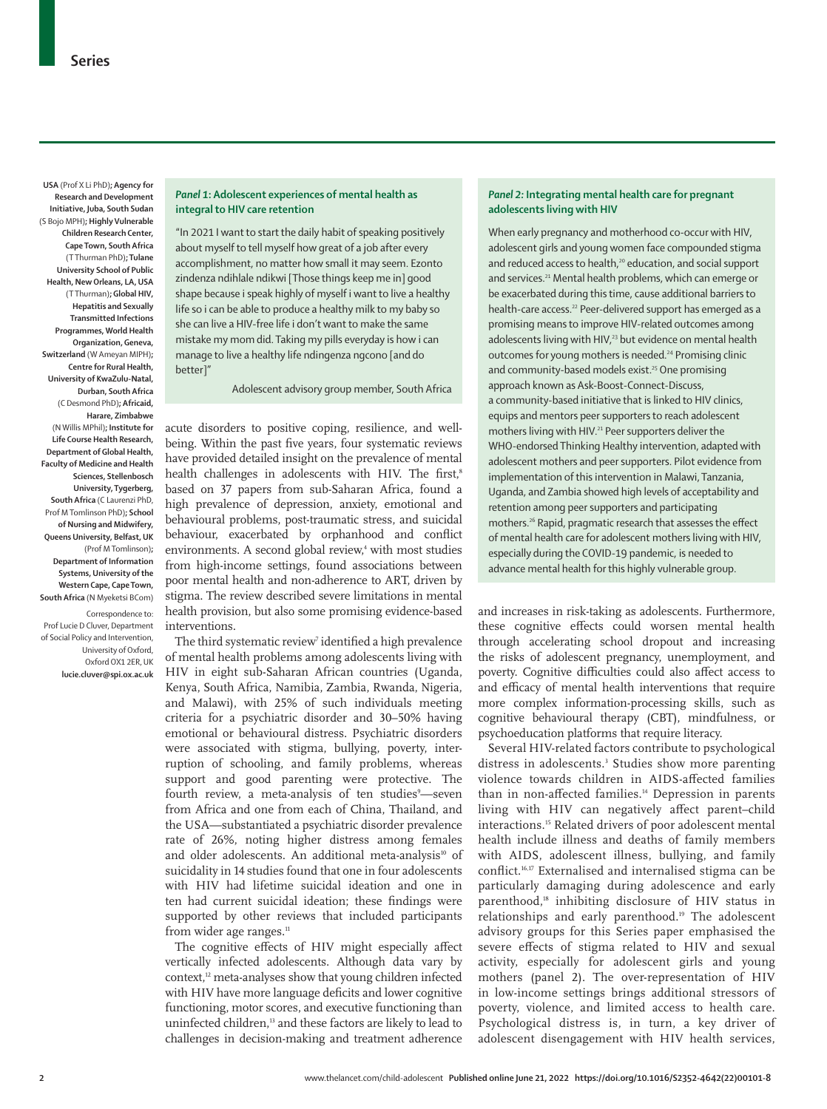**USA** (Prof X Li PhD)**; Agency for Research and Development Initiative, Juba, South Sudan**  (S Bojo MPH)**; Highly Vulnerable Children Research Center, Cape Town, South Africa**  (T Thurman PhD)**; Tulane University School of Public Health, New Orleans, LA, USA**  (T Thurman)**; Global HIV, Hepatitis and Sexually Transmitted Infections Programmes, World Health Organization, Geneva, Switzerland** (W Ameyan MIPH)**; Centre for Rural Health, University of KwaZulu-Natal, Durban, South Africa**  (C Desmond PhD)**; Africaid, Harare, Zimbabwe**  (N Willis MPhil)**; Institute for Life Course Health Research, Department of Global Health, Faculty of Medicine and Health Sciences, Stellenbosch University, Tygerberg, South Africa** (C Laurenzi PhD, Prof M Tomlinson PhD)**; School of Nursing and Midwifery, Queens University, Belfast, UK**  (Prof M Tomlinson)**; Department of Information Systems, University of the Western Cape, Cape Town, South Africa** (N Myeketsi BCom)

Correspondence to: Prof Lucie D Cluver, Department of Social Policy and Intervention, University of Oxford, Oxford OX1 2ER, UK **lucie.cluver@spi.ox.ac.uk**

#### *Panel 1***: Adolescent experiences of mental health as integral to HIV care retention**

"In 2021 I want to start the daily habit of speaking positively about myself to tell myself how great of a job after every accomplishment, no matter how small it may seem. Ezonto zindenza ndihlale ndikwi [Those things keep me in] good shape because i speak highly of myself i want to live a healthy life so i can be able to produce a healthy milk to my baby so she can live a HIV-free life i don't want to make the same mistake my mom did. Taking my pills everyday is how i can manage to live a healthy life ndingenza ngcono [and do better]"

Adolescent advisory group member, South Africa

acute disorders to positive coping, resilience, and wellbeing. Within the past five years, four systematic reviews have provided detailed insight on the prevalence of mental health challenges in adolescents with HIV. The first,<sup>8</sup> based on 37 papers from sub-Saharan Africa, found a high prevalence of depression, anxiety, emotional and behavioural problems, post-traumatic stress, and suicidal behaviour, exacerbated by orphanhood and conflict environments. A second global review,<sup>4</sup> with most studies from high-income settings, found associations between poor mental health and non-adherence to ART, driven by stigma. The review described severe limitations in mental health provision, but also some promising evidence-based interventions.

The third systematic review<sup>,</sup> identified a high prevalence of mental health problems among adolescents living with HIV in eight sub-Saharan African countries (Uganda, Kenya, South Africa, Namibia, Zambia, Rwanda, Nigeria, and Malawi), with 25% of such individuals meeting criteria for a psychiatric disorder and 30–50% having emotional or behavioural distress. Psychiatric disorders were associated with stigma, bullying, poverty, interruption of schooling, and family problems, whereas support and good parenting were protective. The fourth review, a meta-analysis of ten studies<sup>9</sup>—seven from Africa and one from each of China, Thailand, and the USA—substantiated a psychiatric disorder prevalence rate of 26%, noting higher distress among females and older adolescents. An additional meta-analysis<sup>10</sup> of suicidality in 14 studies found that one in four adolescents with HIV had lifetime suicidal ideation and one in ten had current suicidal ideation; these findings were supported by other reviews that included participants from wider age ranges.<sup>11</sup>

The cognitive effects of HIV might especially affect vertically infected adolescents. Although data vary by context,<sup>12</sup> meta-analyses show that young children infected with HIV have more language deficits and lower cognitive functioning, motor scores, and executive functioning than uninfected children,<sup>13</sup> and these factors are likely to lead to challenges in decision-making and treatment adherence

## *Panel 2:* **Integrating mental health care for pregnant adolescents living with HIV**

When early pregnancy and motherhood co-occur with HIV, adolescent girls and young women face compounded stigma and reduced access to health,<sup>20</sup> education, and social support and services.<sup>21</sup> Mental health problems, which can emerge or be exacerbated during this time, cause additional barriers to health-care access.<sup>22</sup> Peer-delivered support has emerged as a promising means to improve HIV-related outcomes among adolescents living with HIV,<sup>23</sup> but evidence on mental health outcomes for young mothers is needed.<sup>24</sup> Promising clinic and community-based models exist.<sup>25</sup> One promising approach known as Ask-Boost-Connect-Discuss, a community-based initiative that is linked to HIV clinics, equips and mentors peer supporters to reach adolescent mothers living with HIV.<sup>21</sup> Peer supporters deliver the WHO-endorsed Thinking Healthy intervention, adapted with adolescent mothers and peer supporters. Pilot evidence from implementation of this intervention in Malawi, Tanzania, Uganda, and Zambia showed high levels of acceptability and retention among peer supporters and participating mothers.26 Rapid, pragmatic research that assesses the effect of mental health care for adolescent mothers living with HIV, especially during the COVID-19 pandemic, is needed to advance mental health for this highly vulnerable group.

and increases in risk-taking as adolescents. Furthermore, these cognitive effects could worsen mental health through accelerating school dropout and increasing the risks of adolescent pregnancy, unemployment, and poverty. Cognitive difficulties could also affect access to and efficacy of mental health interventions that require more complex information-processing skills, such as cognitive behavioural therapy (CBT), mindfulness, or psychoeducation platforms that require literacy.

Several HIV-related factors contribute to psychological distress in adolescents.3 Studies show more parenting violence towards children in AIDS-affected families than in non-affected families.<sup>14</sup> Depression in parents living with HIV can negatively affect parent–child interactions.15 Related drivers of poor adolescent mental health include illness and deaths of family members with AIDS, adolescent illness, bullying, and family conflict.16,17 Externalised and internalised stigma can be particularly damaging during adolescence and early parenthood,<sup>18</sup> inhibiting disclosure of HIV status in relationships and early parenthood.19 The adolescent advisory groups for this Series paper emphasised the severe effects of stigma related to HIV and sexual activity, especially for adolescent girls and young mothers (panel 2). The over-representation of HIV in low-income settings brings additional stressors of poverty, violence, and limited access to health care. Psychological distress is, in turn, a key driver of adolescent disengagement with HIV health services,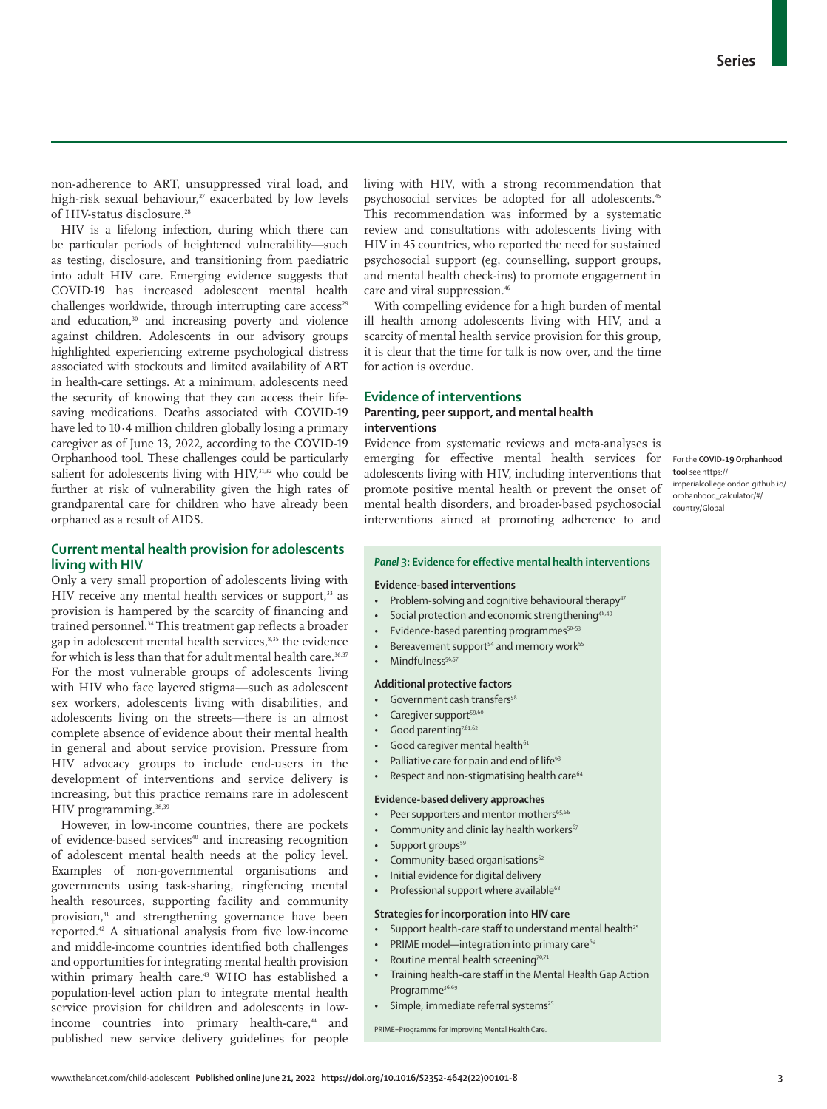non-adherence to ART, unsuppressed viral load, and high-risk sexual behaviour.<sup>27</sup> exacerbated by low levels of HIV-status disclosure.<sup>28</sup>

HIV is a lifelong infection, during which there can be particular periods of heightened vulnerability—such as testing, disclosure, and transitioning from paediatric into adult HIV care. Emerging evidence suggests that COVID-19 has increased adolescent mental health challenges worldwide, through interrupting care access<sup>29</sup> and education,<sup>30</sup> and increasing poverty and violence against children. Adolescents in our advisory groups highlighted experiencing extreme psychological distress associated with stockouts and limited availability of ART in health-care settings. At a minimum, adolescents need the security of knowing that they can access their lifesaving medications. Deaths associated with COVID-19 have led to 10·4 million children globally losing a primary caregiver as of June 13, 2022, according to the COVID-19 Orphanhood [tool](https://imperialcollegelondon.github.io/orphanhood_calculator/#/country/Global). These challenges could be particularly salient for adolescents living with HIV,<sup>31,32</sup> who could be further at risk of vulnerability given the high rates of grandparental care for children who have already been orphaned as a result of AIDS.

# **Current mental health provision for adolescents living with HIV**

Only a very small proportion of adolescents living with HIV receive any mental health services or support,<sup>33</sup> as provision is hampered by the scarcity of financing and trained personnel.<sup>34</sup> This treatment gap reflects a broader gap in adolescent mental health services,<sup>8,35</sup> the evidence for which is less than that for adult mental health care.<sup>36,37</sup> For the most vulnerable groups of adolescents living with HIV who face layered stigma—such as adolescent sex workers, adolescents living with disabilities, and adolescents living on the streets—there is an almost complete absence of evidence about their mental health in general and about service provision. Pressure from HIV advocacy groups to include end-users in the development of interventions and service delivery is increasing, but this practice remains rare in adolescent HIV programming.<sup>38,39</sup>

However, in low-income countries, there are pockets of evidence-based services<sup>40</sup> and increasing recognition of adolescent mental health needs at the policy level. Examples of non-governmental organisations and governments using task-sharing, ringfencing mental health resources, supporting facility and community provision,<sup>41</sup> and strengthening governance have been reported.42 A situational analysis from five low-income and middle-income countries identified both challenges and opportunities for integrating mental health provision within primary health care.<sup>43</sup> WHO has established a population-level action plan to integrate mental health service provision for children and adolescents in lowincome countries into primary health-care,<sup>44</sup> and published new service delivery guidelines for people

living with HIV, with a strong recommendation that psychosocial services be adopted for all adolescents.45 This recommendation was informed by a systematic review and consultations with adolescents living with HIV in 45 countries, who reported the need for sustained psychosocial support (eg, counselling, support groups, and mental health check-ins) to promote engagement in care and viral suppression.<sup>46</sup>

With compelling evidence for a high burden of mental ill health among adolescents living with HIV, and a scarcity of mental health service provision for this group, it is clear that the time for talk is now over, and the time for action is overdue.

## **Evidence of interventions**

# **Parenting, peer support, and mental health interventions**

Evidence from systematic reviews and meta-analyses is emerging for effective mental health services for adolescents living with HIV, including interventions that promote positive mental health or prevent the onset of mental health disorders, and broader-based psychosocial interventions aimed at promoting adherence to and

For the **COVID-19 Orphanhood tool** see [https://](https://imperialcollegelondon.github.io/orphanhood_calculator/#/country/Global) [imperialcollegelondon.github.io/](https://imperialcollegelondon.github.io/orphanhood_calculator/#/country/Global) [orphanhood\\_calculator/#/](https://imperialcollegelondon.github.io/orphanhood_calculator/#/country/Global) [country/Global](https://imperialcollegelondon.github.io/orphanhood_calculator/#/country/Global)

# *Panel 3***: Evidence for effective mental health interventions**

### **Evidence-based interventions**

- Problem-solving and cognitive behavioural therapy<sup>47</sup>
- Social protection and economic strengthening<sup>48,49</sup>
- Evidence-based parenting programmes $50-53$
- Bereavement support<sup>54</sup> and memory work<sup>55</sup>
- Mindfulness<sup>56,57</sup>

## **Additional protective factors**

- Government cash transfers<sup>58</sup>
- Caregiver support<sup>59,60</sup>
- Good parenting<sup>7,61,62</sup>
- Good caregiver mental health $61$
- Palliative care for pain and end of life<sup>63</sup>
- Respect and non-stigmatising health care<sup>64</sup>

#### **Evidence-based delivery approaches**

- Peer supporters and mentor mothers<sup>65,66</sup>
- Community and clinic lay health workers<sup>67</sup>
- Support groups<sup>59</sup>
- Community-based organisations<sup>62</sup>
- Initial evidence for digital delivery
- Professional support where available<sup>68</sup>

#### **Strategies for incorporation into HIV care**

- Support health-care staff to understand mental health<sup>25</sup>
- PRIME model—integration into primary care<sup>69</sup>
- Routine mental health screening<sup>70,71</sup>
- Training health-care staff in the Mental Health Gap Action Programme<sup>36,69</sup>
- Simple, immediate referral systems<sup>25</sup>

PRIME=Programme for Improving Mental Health Care.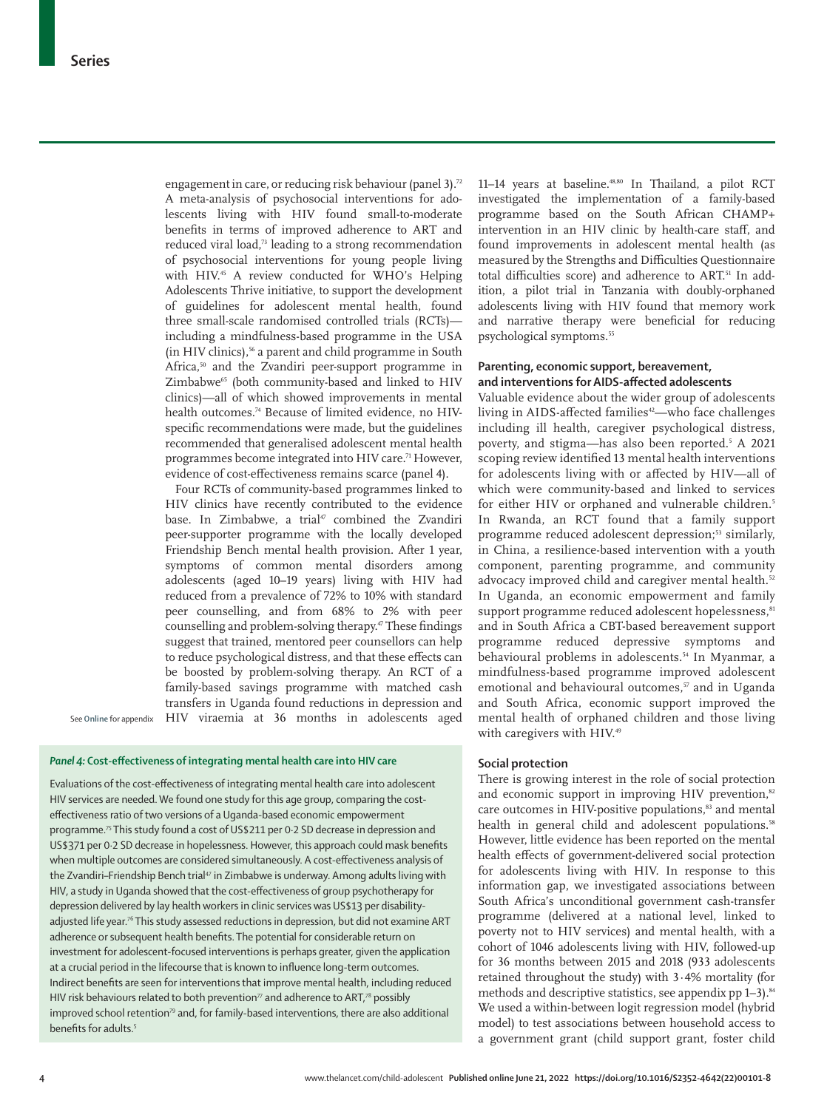engagement in care, or reducing risk behaviour (panel 3).<sup>72</sup> A meta-analysis of psychosocial interventions for adolescents living with HIV found small-to-moderate benefits in terms of improved adherence to ART and reduced viral load,<sup>73</sup> leading to a strong recommendation of psychosocial interventions for young people living with HIV.<sup>45</sup> A review conducted for WHO's Helping Adolescents Thrive initiative, to support the development of guidelines for adolescent mental health, found three small-scale randomised controlled trials (RCTs) including a mindfulness-based programme in the USA (in HIV clinics),<sup>56</sup> a parent and child programme in South Africa,<sup>50</sup> and the Zvandiri peer-support programme in Zimbabwe<sup>65</sup> (both community-based and linked to HIV clinics)—all of which showed improvements in mental health outcomes.74 Because of limited evidence, no HIVspecific recommendations were made, but the guidelines recommended that generalised adolescent mental health programmes become integrated into HIV care.<sup>71</sup> However, evidence of cost-effectiveness remains scarce (panel 4).

Four RCTs of community-based programmes linked to HIV clinics have recently contributed to the evidence base. In Zimbabwe, a trial<sup>47</sup> combined the Zvandiri peer-supporter programme with the locally developed Friendship Bench mental health provision. After 1 year, symptoms of common mental disorders among adolescents (aged 10–19 years) living with HIV had reduced from a prevalence of 72% to 10% with standard peer counselling, and from 68% to 2% with peer counselling and problem-solving therapy.<sup>47</sup> These findings suggest that trained, mentored peer counsellors can help to reduce psychological distress, and that these effects can be boosted by problem-solving therapy. An RCT of a family-based savings programme with matched cash transfers in Uganda found reductions in depression and HIV viraemia at 36 months in adolescents aged

See **Online** for appendix

#### *Panel 4:* **Cost-effectiveness of integrating mental health care into HIV care**

Evaluations of the cost-effectiveness of integrating mental health care into adolescent HIV services are needed. We found one study for this age group, comparing the costeffectiveness ratio of two versions of a Uganda-based economic empowerment programme.75 This study found a cost of US\$211 per 0·2 SD decrease in depression and US\$371 per 0·2 SD decrease in hopelessness. However, this approach could mask benefits when multiple outcomes are considered simultaneously. A cost-effectiveness analysis of the Zvandiri-Friendship Bench trial<sup>47</sup> in Zimbabwe is underway. Among adults living with HIV, a study in Uganda showed that the cost-effectiveness of group psychotherapy for depression delivered by lay health workers in clinic services was US\$13 per disabilityadjusted life year.<sup>76</sup> This study assessed reductions in depression, but did not examine ART adherence or subsequent health benefits. The potential for considerable return on investment for adolescent-focused interventions is perhaps greater, given the application at a crucial period in the lifecourse that is known to influence long-term outcomes. Indirect benefits are seen for interventions that improve mental health, including reduced HIV risk behaviours related to both prevention<sup>77</sup> and adherence to ART,<sup>78</sup> possibly improved school retention<sup>79</sup> and, for family-based interventions, there are also additional benefits for adults.<sup>5</sup>

11-14 years at baseline.<sup>48,80</sup> In Thailand, a pilot RCT investigated the implementation of a family-based programme based on the South African CHAMP+ intervention in an HIV clinic by health-care staff, and found improvements in adolescent mental health (as measured by the Strengths and Difficulties Questionnaire total difficulties score) and adherence to ART.<sup>51</sup> In addition, a pilot trial in Tanzania with doubly-orphaned adolescents living with HIV found that memory work and narrative therapy were beneficial for reducing psychological symptoms.55

#### **Parenting, economic support, bereavement, and interventions for AIDS-affected adolescents**

Valuable evidence about the wider group of adolescents living in AIDS-affected families<sup>42</sup>—who face challenges including ill health, caregiver psychological distress, poverty, and stigma—has also been reported.5 A 2021 scoping review identified 13 mental health interventions for adolescents living with or affected by HIV—all of which were community-based and linked to services for either HIV or orphaned and vulnerable children.<sup>5</sup> In Rwanda, an RCT found that a family support programme reduced adolescent depression;<sup>53</sup> similarly, in China, a resilience-based intervention with a youth component, parenting programme, and community advocacy improved child and caregiver mental health.<sup>52</sup> In Uganda, an economic empowerment and family support programme reduced adolescent hopelessness,<sup>81</sup> and in South Africa a CBT-based bereavement support programme reduced depressive symptoms and behavioural problems in adolescents.<sup>54</sup> In Myanmar, a mindfulness-based programme improved adolescent emotional and behavioural outcomes,<sup>57</sup> and in Uganda and South Africa, economic support improved the mental health of orphaned children and those living with caregivers with HIV.<sup>49</sup>

#### **Social protection**

There is growing interest in the role of social protection and economic support in improving HIV prevention, $82$ care outcomes in HIV-positive populations,<sup>83</sup> and mental health in general child and adolescent populations.<sup>58</sup> However, little evidence has been reported on the mental health effects of government-delivered social protection for adolescents living with HIV. In response to this information gap, we investigated associations between South Africa's unconditional government cash-transfer programme (delivered at a national level, linked to poverty not to HIV services) and mental health, with a cohort of 1046 adolescents living with HIV, followed-up for 36 months between 2015 and 2018 (933 adolescents retained throughout the study) with 3·4% mortality (for methods and descriptive statistics, see appendix pp 1-3).<sup>84</sup> We used a within-between logit regression model (hybrid model) to test associations between household access to a government grant (child support grant, foster child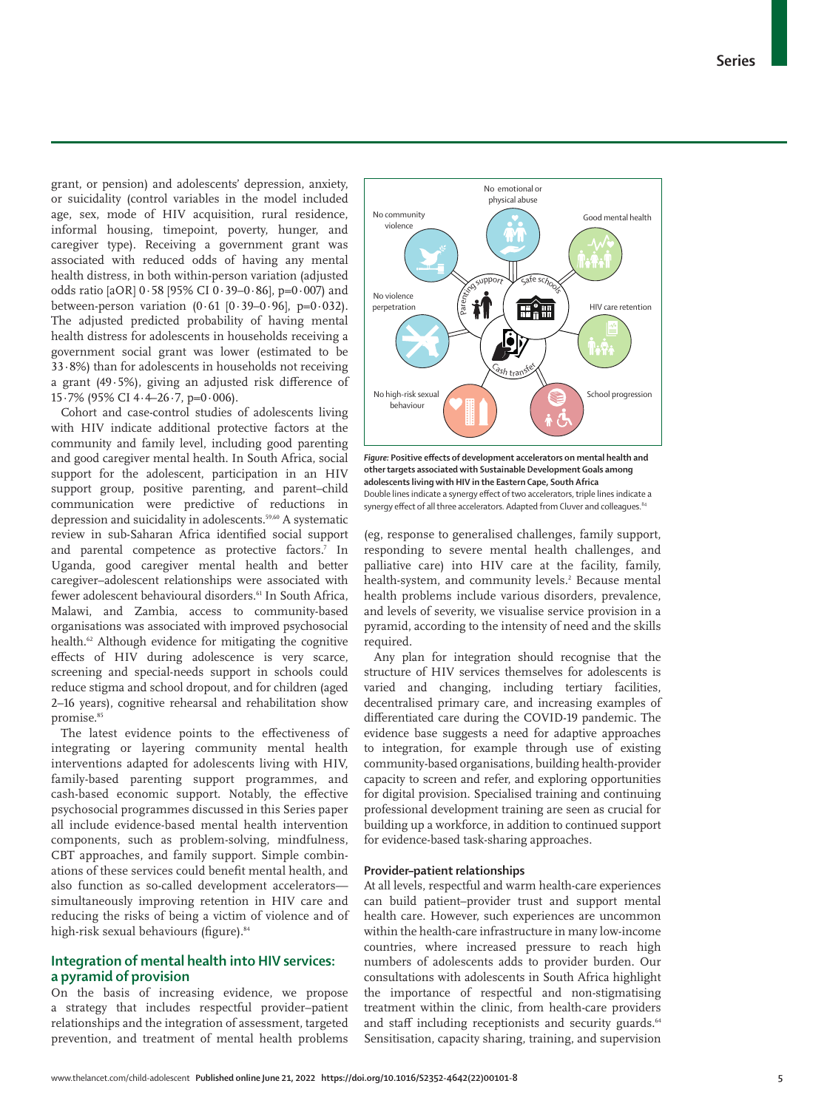grant, or pension) and adolescents' depression, anxiety, or suicidality (control variables in the model included age, sex, mode of HIV acquisition, rural residence, informal housing, timepoint, poverty, hunger, and caregiver type). Receiving a government grant was associated with reduced odds of having any mental health distress, in both within-person variation (adjusted odds ratio [aOR] 0·58 [95% CI 0·39–0·86], p=0·007) and between-person variation  $(0.61 \, [0.39 - 0.96], \, p = 0.032)$ . The adjusted predicted probability of having mental health distress for adolescents in households receiving a government social grant was lower (estimated to be 33·8%) than for adolescents in households not receiving a grant (49·5%), giving an adjusted risk difference of 15·7% (95% CI 4·4–26·7, p=0·006).

Cohort and case-control studies of adolescents living with HIV indicate additional protective factors at the community and family level, including good parenting and good caregiver mental health. In South Africa, social support for the adolescent, participation in an HIV support group, positive parenting, and parent–child communication were predictive of reductions in depression and suicidality in adolescents.<sup>59,60</sup> A systematic review in sub-Saharan Africa identified social support and parental competence as protective factors.<sup>7</sup> In Uganda, good caregiver mental health and better caregiver–adolescent relationships were associated with fewer adolescent behavioural disorders.61 In South Africa, Malawi, and Zambia, access to community-based organisations was associated with improved psychosocial health.62 Although evidence for mitigating the cognitive effects of HIV during adolescence is very scarce, screening and special-needs support in schools could reduce stigma and school dropout, and for children (aged 2–16 years), cognitive rehearsal and rehabilitation show promise.<sup>85</sup>

The latest evidence points to the effectiveness of integrating or layering community mental health interventions adapted for adolescents living with HIV, family-based parenting support programmes, and cash-based economic support. Notably, the effective psychosocial programmes discussed in this Series paper all include evidence-based mental health intervention components, such as problem-solving, mindfulness, CBT approaches, and family support. Simple combinations of these services could benefit mental health, and also function as so-called development accelerators simultaneously improving retention in HIV care and reducing the risks of being a victim of violence and of high-risk sexual behaviours (figure).<sup>84</sup>

## **Integration of mental health into HIV services: a pyramid of provision**

On the basis of increasing evidence, we propose a strategy that includes respectful provider–patient relationships and the integration of assessment, targeted prevention, and treatment of mental health problems



*Figure:* **Positive effects of development accelerators on mental health and other targets associated with Sustainable Development Goals among adolescents living with HIV in the Eastern Cape, South Africa** Double lines indicate a synergy effect of two accelerators, triple lines indicate a synergy effect of all three accelerators. Adapted from Cluver and colleagues.<sup>84</sup>

(eg, response to generalised challenges, family support, responding to severe mental health challenges, and palliative care) into HIV care at the facility, family, health-system, and community levels.2 Because mental health problems include various disorders, prevalence, and levels of severity, we visualise service provision in a pyramid, according to the intensity of need and the skills required.

Any plan for integration should recognise that the structure of HIV services themselves for adolescents is varied and changing, including tertiary facilities, decentralised primary care, and increasing examples of differentiated care during the COVID-19 pandemic. The evidence base suggests a need for adaptive approaches to integration, for example through use of existing community-based organisations, building health-provider capacity to screen and refer, and exploring opportunities for digital provision. Specialised training and continuing professional development training are seen as crucial for building up a workforce, in addition to continued support for evidence-based task-sharing approaches.

## **Provider–patient relationships**

At all levels, respectful and warm health-care experiences can build patient–provider trust and support mental health care. However, such experiences are uncommon within the health-care infrastructure in many low-income countries, where increased pressure to reach high numbers of adolescents adds to provider burden. Our consultations with adolescents in South Africa highlight the importance of respectful and non-stigmatising treatment within the clinic, from health-care providers and staff including receptionists and security guards.<sup>64</sup> Sensitisation, capacity sharing, training, and supervision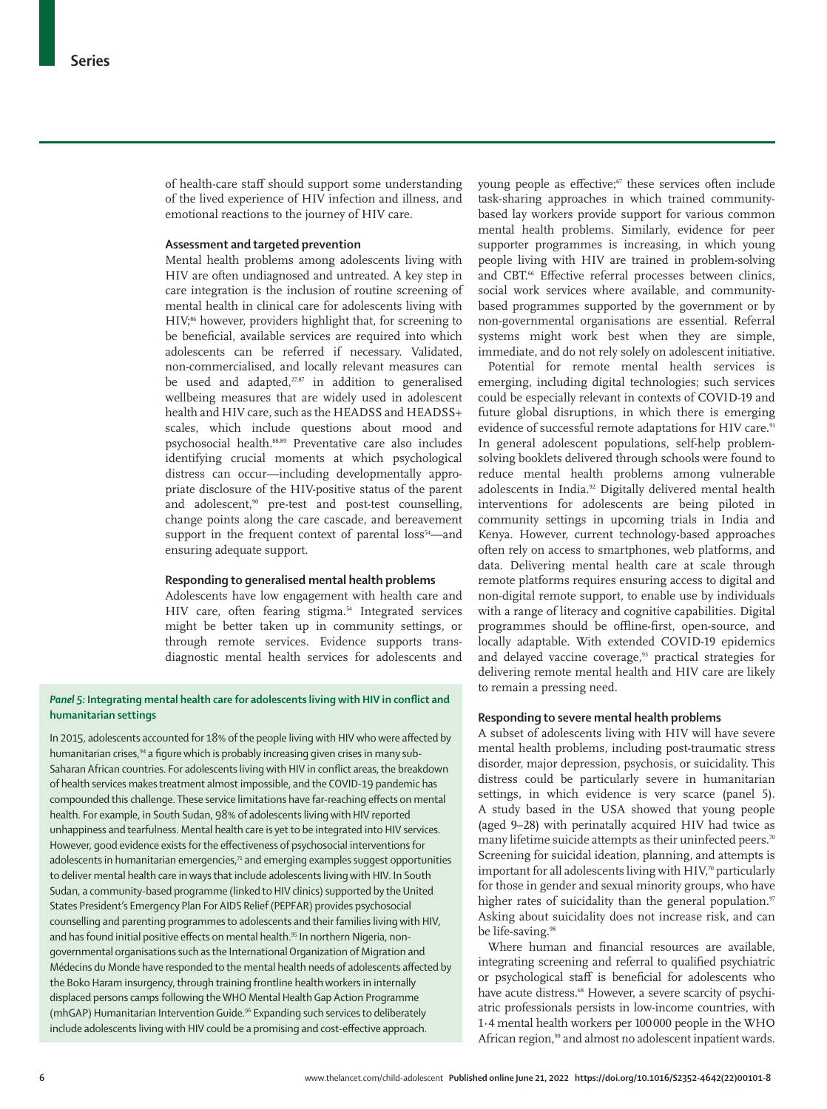of health-care staff should support some understanding of the lived experience of HIV infection and illness, and emotional reactions to the journey of HIV care.

### **Assessment and targeted prevention**

Mental health problems among adolescents living with HIV are often undiagnosed and untreated. A key step in care integration is the inclusion of routine screening of mental health in clinical care for adolescents living with HIV;<sup>86</sup> however, providers highlight that, for screening to be beneficial, available services are required into which adolescents can be referred if necessary. Validated, non-commercialised, and locally relevant measures can be used and adapted, $27,87$  in addition to generalised wellbeing measures that are widely used in adolescent health and HIV care, such as the HEADSS and HEADSS+ scales, which include questions about mood and psychosocial health.88,89 Preventative care also includes identifying crucial moments at which psychological distress can occur—including developmentally appropriate disclosure of the HIV-positive status of the parent and adolescent,<sup>90</sup> pre-test and post-test counselling, change points along the care cascade, and bereavement support in the frequent context of parental loss<sup>54</sup>—and ensuring adequate support.

#### **Responding to generalised mental health problems**

Adolescents have low engagement with health care and HIV care, often fearing stigma.<sup>54</sup> Integrated services might be better taken up in community settings, or through remote services. Evidence supports transdiagnostic mental health services for adolescents and

#### *Panel 5:* **Integrating mental health care for adolescents living with HIV in conflict and humanitarian settings**

In 2015, adolescents accounted for 18% of the people living with HIV who were affected by humanitarian crises,<sup>94</sup> a figure which is probably increasing given crises in many sub-Saharan African countries. For adolescents living with HIV in conflict areas, the breakdown of health services makes treatment almost impossible, and the COVID-19 pandemic has compounded this challenge. These service limitations have far-reaching effects on mental health. For example, in South Sudan, 98% of adolescents living with HIV reported unhappiness and tearfulness. Mental health care is yet to be integrated into HIV services. However, good evidence exists for the effectiveness of psychosocial interventions for adolescents in humanitarian emergencies, $71$  and emerging examples suggest opportunities to deliver mental health care in ways that include adolescents living with HIV. In South Sudan, a community-based programme (linked to HIV clinics) supported by the United States President's Emergency Plan For AIDS Relief (PEPFAR) provides psychosocial counselling and parenting programmes to adolescents and their families living with HIV, and has found initial positive effects on mental health.<sup>95</sup> In northern Nigeria, nongovernmental organisations such as the International Organization of Migration and Médecins du Monde have responded to the mental health needs of adolescents affected by the Boko Haram insurgency, through training frontline health workers in internally displaced persons camps following the WHO Mental Health Gap Action Programme (mhGAP) Humanitarian Intervention Guide.<sup>96</sup> Expanding such services to deliberately include adolescents living with HIV could be a promising and cost-effective approach.

young people as effective; $67$  these services often include task-sharing approaches in which trained communitybased lay workers provide support for various common mental health problems. Similarly, evidence for peer supporter programmes is increasing, in which young people living with HIV are trained in problem-solving and CBT.<sup>66</sup> Effective referral processes between clinics, social work services where available, and communitybased programmes supported by the government or by non-governmental organisations are essential. Referral systems might work best when they are simple, immediate, and do not rely solely on adolescent initiative.

Potential for remote mental health services is emerging, including digital technologies; such services could be especially relevant in contexts of COVID-19 and future global disruptions, in which there is emerging evidence of successful remote adaptations for HIV care.<sup>91</sup> In general adolescent populations, self-help problemsolving booklets delivered through schools were found to reduce mental health problems among vulnerable adolescents in India.<sup>92</sup> Digitally delivered mental health interventions for adolescents are being piloted in community settings in upcoming trials in India and Kenya. However, current technology-based approaches often rely on access to smartphones, web platforms, and data. Delivering mental health care at scale through remote platforms requires ensuring access to digital and non-digital remote support, to enable use by individuals with a range of literacy and cognitive capabilities. Digital programmes should be offline-first, open-source, and locally adaptable. With extended COVID-19 epidemics and delayed vaccine coverage,<sup>93</sup> practical strategies for delivering remote mental health and HIV care are likely to remain a pressing need.

## **Responding to severe mental health problems**

A subset of adolescents living with HIV will have severe mental health problems, including post-traumatic stress disorder, major depression, psychosis, or suicidality. This distress could be particularly severe in humanitarian settings, in which evidence is very scarce (panel 5). A study based in the USA showed that young people (aged 9–28) with perinatally acquired HIV had twice as many lifetime suicide attempts as their uninfected peers.<sup>70</sup> Screening for suicidal ideation, planning, and attempts is important for all adolescents living with HIV,70 particularly for those in gender and sexual minority groups, who have higher rates of suicidality than the general population.<sup>97</sup> Asking about suicidality does not increase risk, and can be life-saving.98

Where human and financial resources are available, integrating screening and referral to qualified psychiatric or psychological staff is beneficial for adolescents who have acute distress.<sup>68</sup> However, a severe scarcity of psychiatric professionals persists in low-income countries, with 1·4 mental health workers per 100000 people in the WHO African region,<sup>99</sup> and almost no adolescent inpatient wards.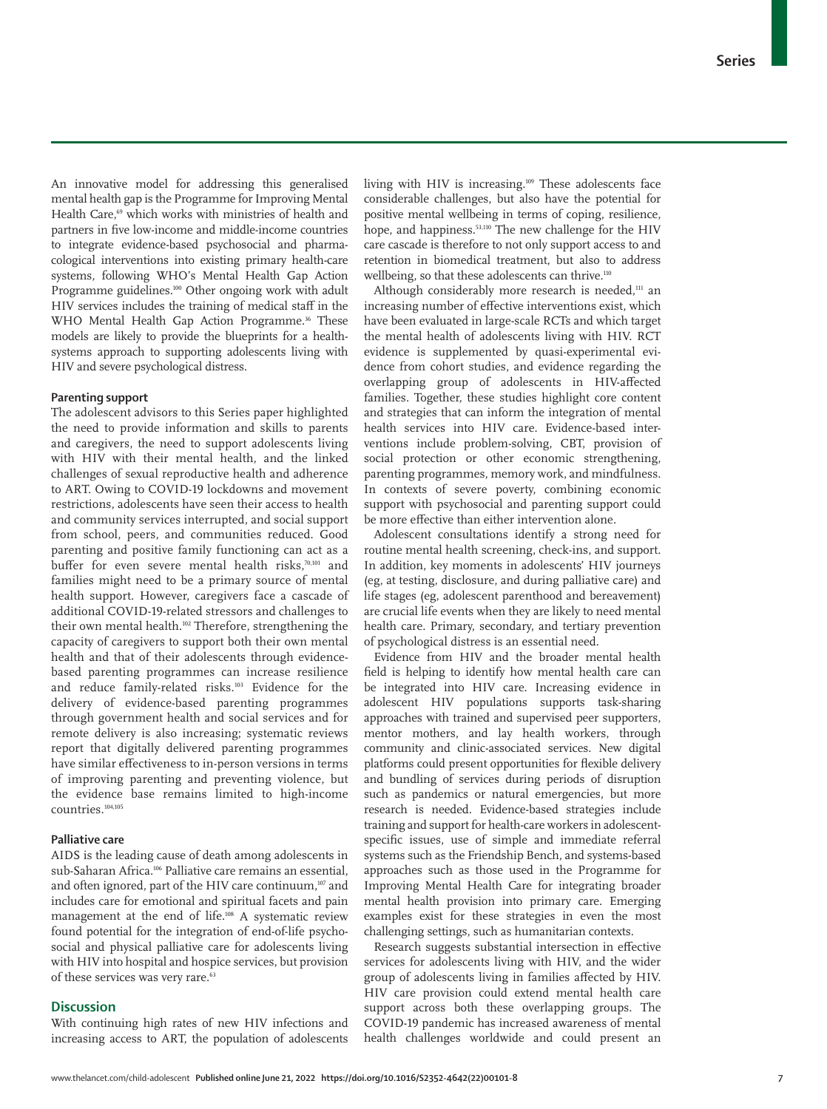An innovative model for addressing this generalised mental health gap is the Programme for Improving Mental Health Care,<sup>69</sup> which works with ministries of health and partners in five low-income and middle-income countries to integrate evidence-based psychosocial and pharmacological interventions into existing primary health-care systems, following WHO's Mental Health Gap Action Programme guidelines.<sup>100</sup> Other ongoing work with adult HIV services includes the training of medical staff in the WHO Mental Health Gap Action Programme.<sup>36</sup> These models are likely to provide the blueprints for a healthsystems approach to supporting adolescents living with HIV and severe psychological distress.

#### **Parenting support**

The adolescent advisors to this Series paper highlighted the need to provide information and skills to parents and caregivers, the need to support adolescents living with HIV with their mental health, and the linked challenges of sexual reproductive health and adherence to ART. Owing to COVID-19 lockdowns and movement restrictions, adolescents have seen their access to health and community services interrupted, and social support from school, peers, and communities reduced. Good parenting and positive family functioning can act as a buffer for even severe mental health risks,<sup>70,101</sup> and families might need to be a primary source of mental health support. However, caregivers face a cascade of additional COVID-19-related stressors and challenges to their own mental health.<sup>102</sup> Therefore, strengthening the capacity of caregivers to support both their own mental health and that of their adolescents through evidencebased parenting programmes can increase resilience and reduce family-related risks.103 Evidence for the delivery of evidence-based parenting programmes through government health and social services and for remote delivery is also increasing; systematic reviews report that digitally delivered parenting programmes have similar effectiveness to in-person versions in terms of improving parenting and preventing violence, but the evidence base remains limited to high-income countries.104,105

## **Palliative care**

AIDS is the leading cause of death among adolescents in sub-Saharan Africa.106 Palliative care remains an essential, and often ignored, part of the HIV care continuum,<sup>107</sup> and includes care for emotional and spiritual facets and pain management at the end of life.<sup>108</sup> A systematic review found potential for the integration of end-of-life psychosocial and physical palliative care for adolescents living with HIV into hospital and hospice services, but provision of these services was very rare.<sup>63</sup>

# **Discussion**

With continuing high rates of new HIV infections and increasing access to ART, the population of adolescents living with HIV is increasing.109 These adolescents face considerable challenges, but also have the potential for positive mental wellbeing in terms of coping, resilience, hope, and happiness.<sup>53,110</sup> The new challenge for the HIV care cascade is therefore to not only support access to and retention in biomedical treatment, but also to address wellbeing, so that these adolescents can thrive.<sup>110</sup>

Although considerably more research is needed, $111$  an increasing number of effective interventions exist, which have been evaluated in large-scale RCTs and which target the mental health of adolescents living with HIV. RCT evidence is supplemented by quasi-experimental evidence from cohort studies, and evidence regarding the overlapping group of adolescents in HIV-affected families. Together, these studies highlight core content and strategies that can inform the integration of mental health services into HIV care. Evidence-based interventions include problem-solving, CBT, provision of social protection or other economic strengthening, parenting programmes, memory work, and mindfulness. In contexts of severe poverty, combining economic support with psychosocial and parenting support could be more effective than either intervention alone.

Adolescent consultations identify a strong need for routine mental health screening, check-ins, and support. In addition, key moments in adolescents' HIV journeys (eg, at testing, disclosure, and during palliative care) and life stages (eg, adolescent parenthood and bereavement) are crucial life events when they are likely to need mental health care. Primary, secondary, and tertiary prevention of psychological distress is an essential need.

Evidence from HIV and the broader mental health field is helping to identify how mental health care can be integrated into HIV care. Increasing evidence in adolescent HIV populations supports task-sharing approaches with trained and supervised peer supporters, mentor mothers, and lay health workers, through community and clinic-associated services. New digital platforms could present opportunities for flexible delivery and bundling of services during periods of disruption such as pandemics or natural emergencies, but more research is needed. Evidence-based strategies include training and support for health-care workers in adolescentspecific issues, use of simple and immediate referral systems such as the Friendship Bench, and systems-based approaches such as those used in the Programme for Improving Mental Health Care for integrating broader mental health provision into primary care. Emerging examples exist for these strategies in even the most challenging settings, such as humanitarian contexts.

Research suggests substantial intersection in effective services for adolescents living with HIV, and the wider group of adolescents living in families affected by HIV. HIV care provision could extend mental health care support across both these overlapping groups. The COVID-19 pandemic has increased awareness of mental health challenges worldwide and could present an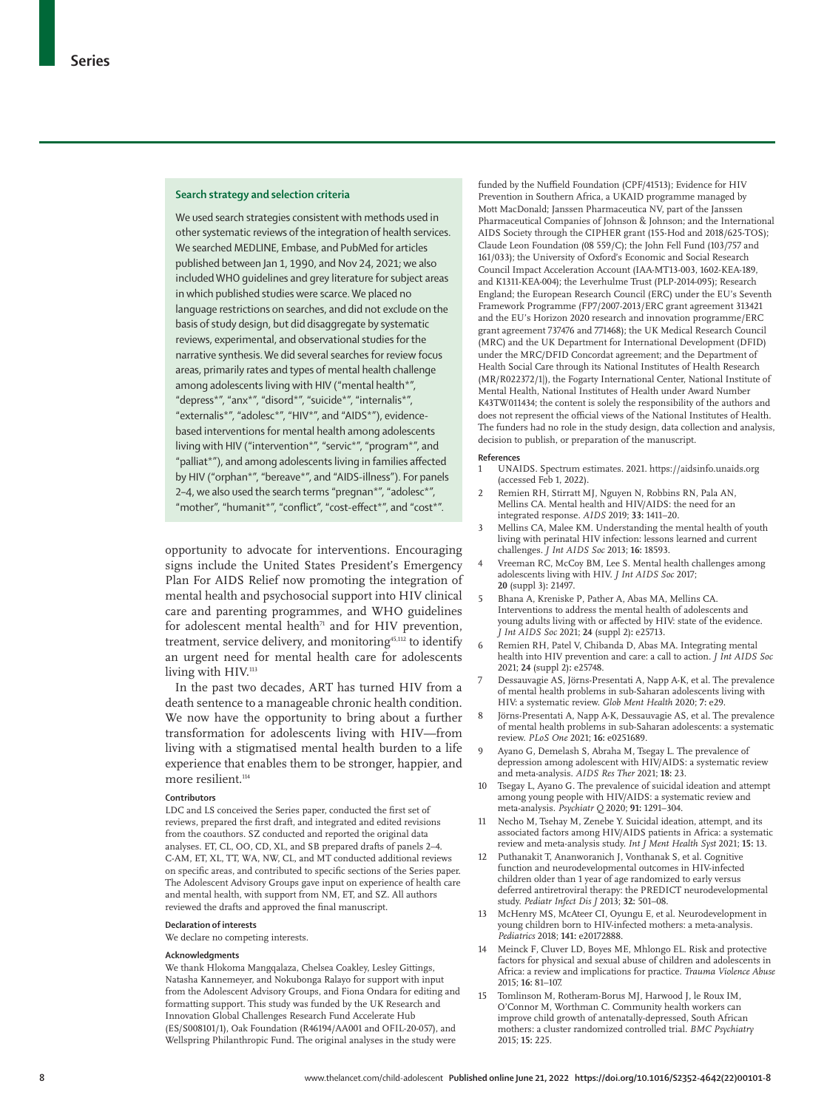## **Search strategy and selection criteria**

We used search strategies consistent with methods used in other systematic reviews of the integration of health services. We searched MEDLINE, Embase, and PubMed for articles published between Jan 1, 1990, and Nov 24, 2021; we also included WHO guidelines and grey literature for subject areas in which published studies were scarce. We placed no language restrictions on searches, and did not exclude on the basis of study design, but did disaggregate by systematic reviews, experimental, and observational studies for the narrative synthesis. We did several searches for review focus areas, primarily rates and types of mental health challenge among adolescents living with HIV ("mental health\*", "depress\*", "anx\*", "disord\*", "suicide\*", "internalis\*", "externalis\*", "adolesc\*", "HIV\*", and "AIDS\*"), evidencebased interventions for mental health among adolescents living with HIV ("intervention\*", "servic\*", "program\*", and "palliat\*"), and among adolescents living in families affected by HIV ("orphan\*", "bereave\*", and "AIDS-illness"). For panels 2–4, we also used the search terms "pregnan\*", "adolesc\*", "mother", "humanit\*", "conflict", "cost-effect\*", and "cost\*".

opportunity to advocate for interventions. Encouraging signs include the United States President's Emergency Plan For AIDS Relief now promoting the integration of mental health and psychosocial support into HIV clinical care and parenting programmes, and WHO guidelines for adolescent mental health $71$  and for HIV prevention, treatment, service delivery, and monitoring<sup>45,112</sup> to identify an urgent need for mental health care for adolescents living with HIV.<sup>113</sup>

In the past two decades, ART has turned HIV from a death sentence to a manageable chronic health condition. We now have the opportunity to bring about a further transformation for adolescents living with HIV—from living with a stigmatised mental health burden to a life experience that enables them to be stronger, happier, and more resilient.<sup>114</sup>

#### **Contributors**

LDC and LS conceived the Series paper, conducted the first set of reviews, prepared the first draft, and integrated and edited revisions from the coauthors. SZ conducted and reported the original data analyses. ET, CL, OO, CD, XL, and SB prepared drafts of panels 2–4. C-AM, ET, XL, TT, WA, NW, CL, and MT conducted additional reviews on specific areas, and contributed to specific sections of the Series paper. The Adolescent Advisory Groups gave input on experience of health care and mental health, with support from NM, ET, and SZ. All authors reviewed the drafts and approved the final manuscript.

#### **Declaration of interests**

We declare no competing interests.

#### **Acknowledgments**

We thank Hlokoma Mangqalaza, Chelsea Coakley, Lesley Gittings, Natasha Kannemeyer, and Nokubonga Ralayo for support with input from the Adolescent Advisory Groups, and Fiona Ondara for editing and formatting support. This study was funded by the UK Research and Innovation Global Challenges Research Fund Accelerate Hub (ES/S008101/1), Oak Foundation (R46194/AA001 and OFIL-20-057), and Wellspring Philanthropic Fund. The original analyses in the study were

funded by the Nuffield Foundation (CPF/41513); Evidence for HIV Prevention in Southern Africa, a UKAID programme managed by Mott MacDonald; Janssen Pharmaceutica NV, part of the Janssen Pharmaceutical Companies of Johnson & Johnson; and the International AIDS Society through the CIPHER grant (155-Hod and 2018/625-TOS); Claude Leon Foundation (08 559/C); the John Fell Fund (103/757 and 161/033); the University of Oxford's Economic and Social Research Council Impact Acceleration Account (IAA-MT13-003, 1602-KEA-189, and K1311-KEA-004); the Leverhulme Trust (PLP-2014-095); Research England; the European Research Council (ERC) under the EU's Seventh Framework Programme (FP7/2007-2013/ERC grant agreement 313421 and the EU's Horizon 2020 research and innovation programme/ERC grant agreement 737476 and 771468); the UK Medical Research Council (MRC) and the UK Department for International Development (DFID) under the MRC/DFID Concordat agreement; and the Department of Health Social Care through its National Institutes of Health Research (MR/R022372/1|), the Fogarty International Center, National Institute of Mental Health, National Institutes of Health under Award Number K43TW011434; the content is solely the responsibility of the authors and does not represent the official views of the National Institutes of Health. The funders had no role in the study design, data collection and analysis, decision to publish, or preparation of the manuscript.

#### **References**

- 1 UNAIDS. Spectrum estimates. 2021. https://aidsinfo.unaids.org (accessed Feb 1, 2022).
- 2 Remien RH, Stirratt MJ, Nguyen N, Robbins RN, Pala AN, Mellins CA. Mental health and HIV/AIDS: the need for an integrated response. *AIDS* 2019; **33:** 1411–20.
- 3 Mellins CA, Malee KM. Understanding the mental health of youth living with perinatal HIV infection: lessons learned and current challenges. *J Int AIDS Soc* 2013; **16:** 18593.
- 4 Vreeman RC, McCoy BM, Lee S. Mental health challenges among adolescents living with HIV. *J Int AIDS Soc* 2017; **20** (suppl 3)**:** 21497.
- 5 Bhana A, Kreniske P, Pather A, Abas MA, Mellins CA. Interventions to address the mental health of adolescents and young adults living with or affected by HIV: state of the evidence. *J Int AIDS Soc* 2021; **24** (suppl 2)**:** e25713.
- 6 Remien RH, Patel V, Chibanda D, Abas MA. Integrating mental health into HIV prevention and care: a call to action. *J Int AIDS Soc* 2021; **24** (suppl 2)**:** e25748.
- 7 Dessauvagie AS, Jörns-Presentati A, Napp A-K, et al. The prevalence of mental health problems in sub-Saharan adolescents living with HIV: a systematic review. *Glob Ment Health* 2020; **7:** e29.
- Jörns-Presentati A, Napp A-K, Dessauvagie AS, et al. The prevalence of mental health problems in sub-Saharan adolescents: a systematic review. *PLoS One* 2021; **16:** e0251689.
- Ayano G, Demelash S, Abraha M, Tsegay L. The prevalence of depression among adolescent with HIV/AIDS: a systematic review and meta-analysis. *AIDS Res Ther* 2021; **18:** 23.
- 10 Tsegay L, Ayano G. The prevalence of suicidal ideation and attempt among young people with HIV/AIDS: a systematic review and meta-analysis. *Psychiatr Q* 2020; **91:** 1291–304.
- 11 Necho M, Tsehay M, Zenebe Y. Suicidal ideation, attempt, and its associated factors among HIV/AIDS patients in Africa: a systematic review and meta-analysis study. *Int J Ment Health Syst* 2021; **15:** 13.
- 12 Puthanakit T, Ananworanich J, Vonthanak S, et al. Cognitive function and neurodevelopmental outcomes in HIV-infected children older than 1 year of age randomized to early versus deferred antiretroviral therapy: the PREDICT neurodevelopmental study. *Pediatr Infect Dis J* 2013; **32:** 501–08.
- 13 McHenry MS, McAteer CI, Oyungu E, et al. Neurodevelopment in young children born to HIV-infected mothers: a meta-analysis. *Pediatrics* 2018; **141:** e20172888.
- 14 Meinck F, Cluver LD, Boyes ME, Mhlongo EL. Risk and protective factors for physical and sexual abuse of children and adolescents in Africa: a review and implications for practice. *Trauma Violence Abuse* 2015; **16:** 81–107.
- 15 Tomlinson M, Rotheram-Borus MJ, Harwood J, le Roux IM, O'Connor M, Worthman C. Community health workers can improve child growth of antenatally-depressed, South African mothers: a cluster randomized controlled trial. *BMC Psychiatry* 2015; **15:** 225.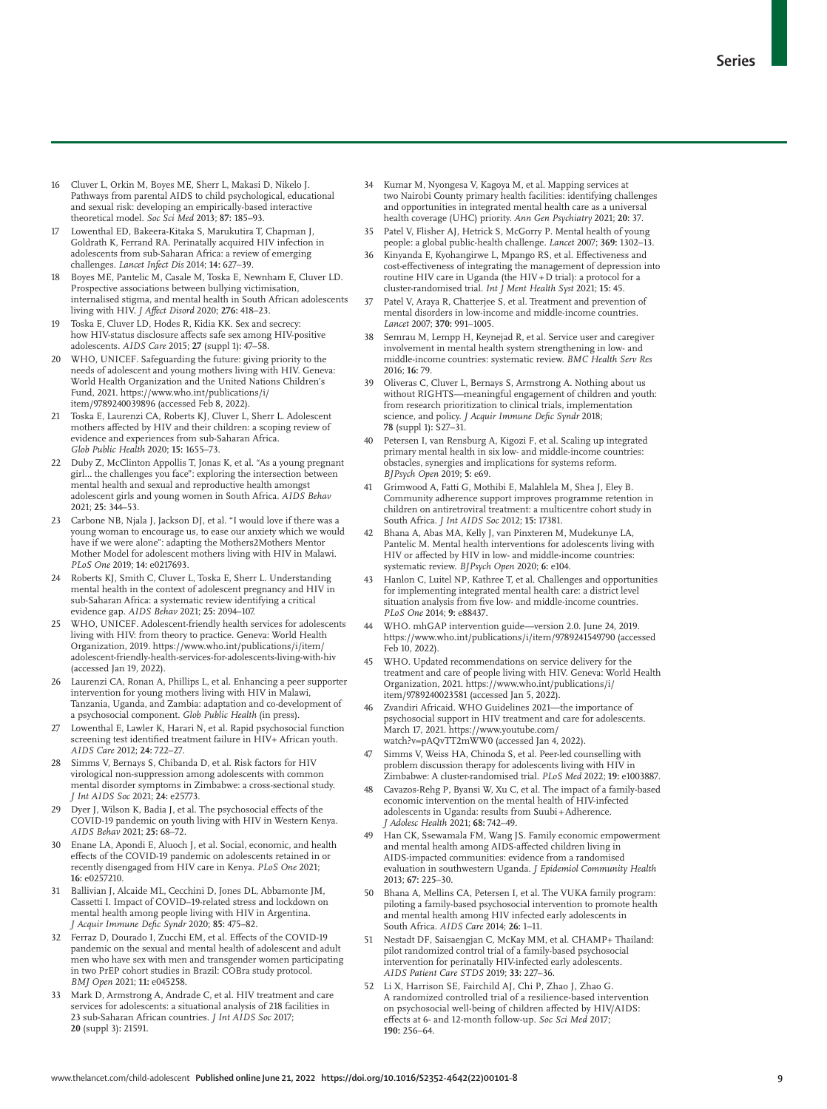- 16 Cluver L, Orkin M, Boyes ME, Sherr L, Makasi D, Nikelo J. Pathways from parental AIDS to child psychological, educational and sexual risk: developing an empirically-based interactive theoretical model. *Soc Sci Med* 2013; **87:** 185–93.
- 17 Lowenthal ED, Bakeera-Kitaka S, Marukutira T, Chapman J, Goldrath K, Ferrand RA. Perinatally acquired HIV infection in adolescents from sub-Saharan Africa: a review of emerging challenges. *Lancet Infect Dis* 2014; **14:** 627–39.
- 18 Boyes ME, Pantelic M, Casale M, Toska E, Newnham E, Cluver LD. Prospective associations between bullying victimisation, internalised stigma, and mental health in South African adolescents living with HIV. *J Affect Disord* 2020; **276:** 418–23.
- 19 Toska E, Cluver LD, Hodes R, Kidia KK. Sex and secrecy: how HIV-status disclosure affects safe sex among HIV-positive adolescents. *AIDS Care* 2015; **27** (suppl 1)**:** 47–58.
- 20 WHO, UNICEF. Safeguarding the future: giving priority to the needs of adolescent and young mothers living with HIV. Geneva: World Health Organization and the United Nations Children's Fund, 2021. https://www.who.int/publications/i/ item/9789240039896 (accessed Feb 8, 2022).
- 21 Toska E, Laurenzi CA, Roberts KJ, Cluver L, Sherr L. Adolescent mothers affected by HIV and their children: a scoping review of evidence and experiences from sub-Saharan Africa. *Glob Public Health* 2020; **15:** 1655–73.
- 22 Duby Z, McClinton Appollis T, Jonas K, et al. "As a young pregnant girl… the challenges you face": exploring the intersection between mental health and sexual and reproductive health amongst adolescent girls and young women in South Africa. *AIDS Behav* 2021; **25:** 344–53.
- 23 Carbone NB, Njala J, Jackson DJ, et al. "I would love if there was a young woman to encourage us, to ease our anxiety which we would have if we were alone": adapting the Mothers2Mothers Mentor Mother Model for adolescent mothers living with HIV in Malawi. *PLoS One* 2019; **14:** e0217693.
- 24 Roberts KJ, Smith C, Cluver L, Toska E, Sherr L. Understanding mental health in the context of adolescent pregnancy and HIV in sub-Saharan Africa: a systematic review identifying a critical evidence gap. *AIDS Behav* 2021; **25:** 2094–107.
- 25 WHO, UNICEF. Adolescent-friendly health services for adolescents living with HIV: from theory to practice. Geneva: World Health Organization, 2019. https://www.who.int/publications/i/item/ adolescent-friendly-health-services-for-adolescents-living-with-hiv (accessed Jan 19, 2022).
- 26 Laurenzi CA, Ronan A, Phillips L, et al. Enhancing a peer supporter intervention for young mothers living with HIV in Malawi, Tanzania, Uganda, and Zambia: adaptation and co-development of a psychosocial component. *Glob Public Health* (in press).
- Lowenthal E, Lawler K, Harari N, et al. Rapid psychosocial function screening test identified treatment failure in HIV+ African youth. *AIDS Care* 2012; **24:** 722–27.
- Simms V, Bernays S, Chibanda D, et al. Risk factors for HIV virological non-suppression among adolescents with common mental disorder symptoms in Zimbabwe: a cross-sectional study. *J Int AIDS Soc* 2021; **24:** e25773.
- Dyer J, Wilson K, Badia J, et al. The psychosocial effects of the COVID-19 pandemic on youth living with HIV in Western Kenya. *AIDS Behav* 2021; **25:** 68–72.
- 30 Enane LA, Apondi E, Aluoch J, et al. Social, economic, and health effects of the COVID-19 pandemic on adolescents retained in or recently disengaged from HIV care in Kenya. *PLoS One* 2021; **16:** e0257210.
- 31 Ballivian J, Alcaide ML, Cecchini D, Jones DL, Abbamonte JM, Cassetti I. Impact of COVID–19-related stress and lockdown on mental health among people living with HIV in Argentina. *J Acquir Immune Defic Syndr* 2020; **85:** 475–82.
- 32 Ferraz D, Dourado I, Zucchi EM, et al. Effects of the COVID-19 pandemic on the sexual and mental health of adolescent and adult men who have sex with men and transgender women participating in two PrEP cohort studies in Brazil: COBra study protocol. *BMJ Open* 2021; **11:** e045258.
- 33 Mark D, Armstrong A, Andrade C, et al. HIV treatment and care services for adolescents: a situational analysis of 218 facilities in 23 sub-Saharan African countries. *J Int AIDS Soc* 2017; **20** (suppl 3)**:** 21591.
- 34 Kumar M, Nyongesa V, Kagoya M, et al. Mapping services at two Nairobi County primary health facilities: identifying challenges and opportunities in integrated mental health care as a universal health coverage (UHC) priority. *Ann Gen Psychiatry* 2021; **20:** 37.
- 35 Patel V, Flisher AJ, Hetrick S, McGorry P. Mental health of young people: a global public-health challenge. *Lancet* 2007; **369:** 1302–13.
- 36 Kinyanda E, Kyohangirwe L, Mpango RS, et al. Effectiveness and cost-effectiveness of integrating the management of depression into routine HIV care in Uganda (the HIV+D trial): a protocol for a cluster-randomised trial. *Int J Ment Health Syst* 2021; **15:** 45.
- 37 Patel V, Araya R, Chatterjee S, et al. Treatment and prevention of mental disorders in low-income and middle-income countries. *Lancet* 2007; **370:** 991–1005.
- Semrau M, Lempp H, Keynejad R, et al. Service user and caregiver involvement in mental health system strengthening in low- and middle-income countries: systematic review. *BMC Health Serv Res* 2016; **16:** 79.
- Oliveras C, Cluver L, Bernays S, Armstrong A. Nothing about us without RIGHTS—meaningful engagement of children and youth: from research prioritization to clinical trials, implementation science, and policy. *J Acquir Immune Defic Syndr* 2018; **78** (suppl 1)**:** S27–31.
- 40 Petersen I, van Rensburg A, Kigozi F, et al. Scaling up integrated primary mental health in six low- and middle-income countries: obstacles, synergies and implications for systems reform. *BJPsych Open* 2019; **5:** e69.
- 41 Grimwood A, Fatti G, Mothibi E, Malahlela M, Shea J, Eley B. Community adherence support improves programme retention in children on antiretroviral treatment: a multicentre cohort study in South Africa. *J Int AIDS Soc* 2012; **15:** 17381.
- 42 Bhana A, Abas MA, Kelly J, van Pinxteren M, Mudekunye LA, Pantelic M. Mental health interventions for adolescents living with HIV or affected by HIV in low- and middle-income countries: systematic review. *BJPsych Open* 2020; **6:** e104.
- 43 Hanlon C, Luitel NP, Kathree T, et al. Challenges and opportunities for implementing integrated mental health care: a district level situation analysis from five low- and middle-income countries. *PLoS One* 2014; **9:** e88437.
- 44 WHO. mhGAP intervention guide—version 2.0. June 24, 2019. https://www.who.int/publications/i/item/9789241549790 (accessed Feb 10, 2022).
- WHO. Updated recommendations on service delivery for the treatment and care of people living with HIV. Geneva: World Health Organization, 2021. https://www.who.int/publications/i/ item/9789240023581 (accessed Jan 5, 2022).
- 46 Zvandiri Africaid. WHO Guidelines 2021—the importance of psychosocial support in HIV treatment and care for adolescents. March 17, 2021. https://www.youtube.com/ watch?v=pAQvTT2mWW0 (accessed Jan 4, 2022).
- Simms V, Weiss HA, Chinoda S, et al. Peer-led counselling with problem discussion therapy for adolescents living with HIV in Zimbabwe: A cluster-randomised trial. *PLoS Med* 2022; **19:** e1003887.
- 48 Cavazos-Rehg P, Byansi W, Xu C, et al. The impact of a family-based economic intervention on the mental health of HIV-infected adolescents in Uganda: results from Suubi+Adherence. *J Adolesc Health* 2021; **68:** 742–49.
- 49 Han CK, Ssewamala FM, Wang JS. Family economic empowerment and mental health among AIDS-affected children living in AIDS-impacted communities: evidence from a randomised evaluation in southwestern Uganda. *J Epidemiol Community Health* 2013; **67:** 225–30.
- 50 Bhana A, Mellins CA, Petersen I, et al. The VUKA family program: piloting a family-based psychosocial intervention to promote health and mental health among HIV infected early adolescents in South Africa. *AIDS Care* 2014; **26:** 1–11.
- 51 Nestadt DF, Saisaengjan C, McKay MM, et al. CHAMP+ Thailand: pilot randomized control trial of a family-based psychosocial intervention for perinatally HIV-infected early adolescents. *AIDS Patient Care STDS* 2019; **33:** 227–36.
- 52 Li X, Harrison SE, Fairchild AJ, Chi P, Zhao J, Zhao G. A randomized controlled trial of a resilience-based intervention on psychosocial well-being of children affected by HIV/AIDS: effects at 6- and 12-month follow-up. *Soc Sci Med* 2017; **190:** 256–64.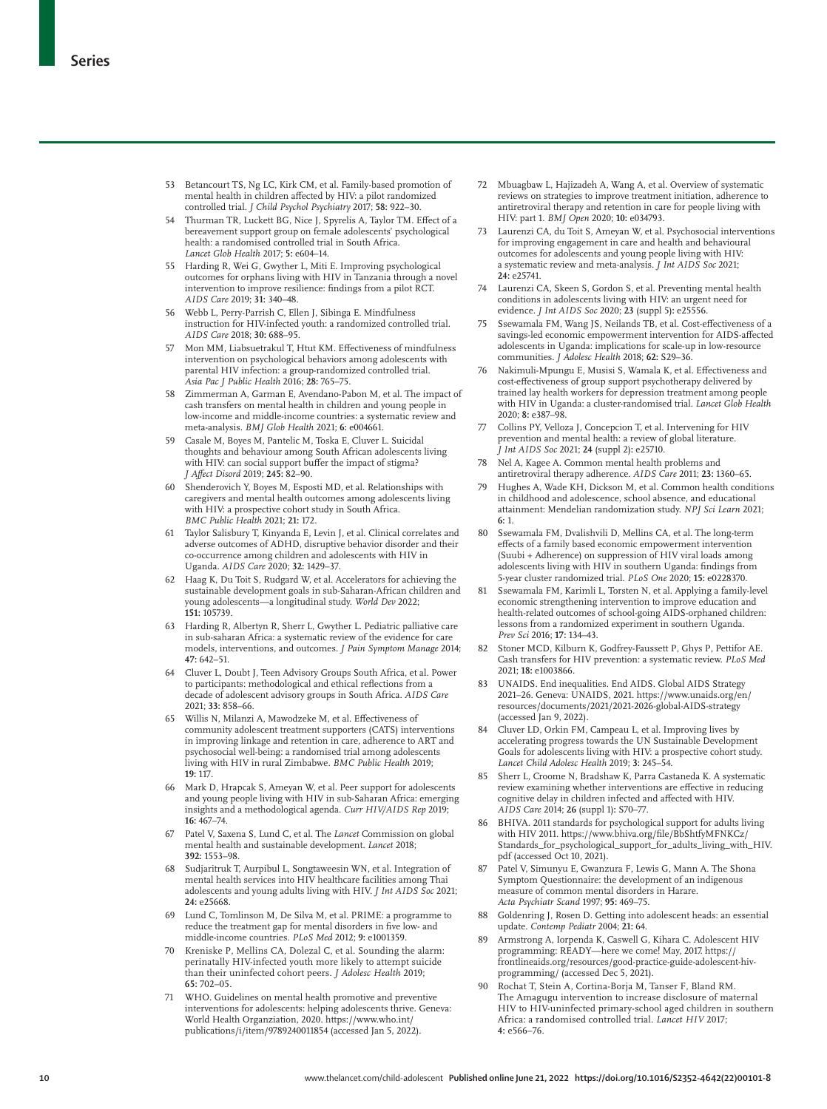- 53 Betancourt TS, Ng LC, Kirk CM, et al. Family-based promotion of mental health in children affected by HIV: a pilot randomized controlled trial. *J Child Psychol Psychiatry* 2017; **58:** 922–30.
- 54 Thurman TR, Luckett BG, Nice J, Spyrelis A, Taylor TM. Effect of a bereavement support group on female adolescents' psychological health: a randomised controlled trial in South Africa. *Lancet Glob Health* 2017; **5:** e604–14.
- 55 Harding R, Wei G, Gwyther L, Miti E. Improving psychological outcomes for orphans living with HIV in Tanzania through a novel intervention to improve resilience: findings from a pilot RCT. *AIDS Care* 2019; **31:** 340–48.
- 56 Webb L, Perry-Parrish C, Ellen J, Sibinga E. Mindfulness instruction for HIV-infected youth: a randomized controlled trial. *AIDS Care* 2018; **30:** 688–95.
- 57 Mon MM, Liabsuetrakul T, Htut KM. Effectiveness of mindfulness intervention on psychological behaviors among adolescents with parental HIV infection: a group-randomized controlled trial. *Asia Pac J Public Health* 2016; **28:** 765–75.
- 58 Zimmerman A, Garman E, Avendano-Pabon M, et al. The impact of cash transfers on mental health in children and young people in low-income and middle-income countries: a systematic review and meta-analysis. *BMJ Glob Health* 2021; **6:** e004661.
- 59 Casale M, Boyes M, Pantelic M, Toska E, Cluver L. Suicidal thoughts and behaviour among South African adolescents living with HIV: can social support buffer the impact of stigma? *J Affect Disord* 2019; **245:** 82–90.
- 60 Shenderovich Y, Boyes M, Esposti MD, et al. Relationships with caregivers and mental health outcomes among adolescents living with HIV: a prospective cohort study in South Africa. *BMC Public Health* 2021; **21:** 172.
- 61 Taylor Salisbury T, Kinyanda E, Levin J, et al. Clinical correlates and adverse outcomes of ADHD, disruptive behavior disorder and their co-occurrence among children and adolescents with HIV in Uganda. *AIDS Care* 2020; **32:** 1429–37.
- 62 Haag K, Du Toit S, Rudgard W, et al. Accelerators for achieving the sustainable development goals in sub-Saharan-African children and young adolescents—a longitudinal study. *World Dev* 2022; **151:** 105739.
- 63 Harding R, Albertyn R, Sherr L, Gwyther L. Pediatric palliative care in sub-saharan Africa: a systematic review of the evidence for care models, interventions, and outcomes. *J Pain Symptom Manage* 2014; **47:** 642–51.
- 64 Cluver L, Doubt J, Teen Advisory Groups South Africa, et al. Power to participants: methodological and ethical reflections from a decade of adolescent advisory groups in South Africa. *AIDS Care* 2021; **33:** 858–66.
- 65 Willis N, Milanzi A, Mawodzeke M, et al. Effectiveness of community adolescent treatment supporters (CATS) interventions in improving linkage and retention in care, adherence to ART and psychosocial well-being: a randomised trial among adolescents living with HIV in rural Zimbabwe. *BMC Public Health* 2019; **19:** 117.
- 66 Mark D, Hrapcak S, Ameyan W, et al. Peer support for adolescents and young people living with HIV in sub-Saharan Africa: emerging insights and a methodological agenda. *Curr HIV/AIDS Rep* 2019; **16:** 467–74.
- 67 Patel V, Saxena S, Lund C, et al. The *Lancet* Commission on global mental health and sustainable development. *Lancet* 2018; **392:** 1553–98.
- 68 Sudjaritruk T, Aurpibul L, Songtaweesin WN, et al. Integration of mental health services into HIV healthcare facilities among Thai adolescents and young adults living with HIV. *J Int AIDS Soc* 2021; **24:** e25668.
- 69 Lund C, Tomlinson M, De Silva M, et al. PRIME: a programme to reduce the treatment gap for mental disorders in five low- and middle-income countries. *PLoS Med* 2012; **9:** e1001359.
- 70 Kreniske P, Mellins CA, Dolezal C, et al. Sounding the alarm: perinatally HIV-infected youth more likely to attempt suicide than their uninfected cohort peers. *J Adolesc Health* 2019; **65:** 702–05.
- WHO. Guidelines on mental health promotive and preventive interventions for adolescents: helping adolescents thrive. Geneva: World Health Organziation, 2020. https://www.who.int/ publications/i/item/9789240011854 (accessed Jan 5, 2022).
- 72 Mbuagbaw L, Hajizadeh A, Wang A, et al. Overview of systematic reviews on strategies to improve treatment initiation, adherence to antiretroviral therapy and retention in care for people living with HIV: part 1. *BMJ Open* 2020; **10:** e034793.
- 73 Laurenzi CA, du Toit S, Ameyan W, et al. Psychosocial interventions for improving engagement in care and health and behavioural outcomes for adolescents and young people living with HIV: a systematic review and meta-analysis. *J Int AIDS Soc* 2021; **24:** e25741.
- Laurenzi CA, Skeen S, Gordon S, et al. Preventing mental health conditions in adolescents living with HIV: an urgent need for evidence. *J Int AIDS Soc* 2020; **23** (suppl 5)**:** e25556.
- Ssewamala FM, Wang JS, Neilands TB, et al. Cost-effectiveness of a savings-led economic empowerment intervention for AIDS-affected adolescents in Uganda: implications for scale-up in low-resource communities. *J Adolesc Health* 2018; **62:** S29–36.
- 76 Nakimuli-Mpungu E, Musisi S, Wamala K, et al. Effectiveness and cost-effectiveness of group support psychotherapy delivered by trained lay health workers for depression treatment among people with HIV in Uganda: a cluster-randomised trial. *Lancet Glob Health* 2020; **8:** e387–98.
- 77 Collins PY, Velloza J, Concepcion T, et al. Intervening for HIV prevention and mental health: a review of global literature. *J Int AIDS Soc* 2021; **24** (suppl 2)**:** e25710.
- 78 Nel A, Kagee A. Common mental health problems and antiretroviral therapy adherence. *AIDS Care* 2011; **23:** 1360–65.
- 79 Hughes A, Wade KH, Dickson M, et al. Common health conditions in childhood and adolescence, school absence, and educational attainment: Mendelian randomization study. *NPJ Sci Learn* 2021; **6:** 1.
- 80 Ssewamala FM, Dvalishvili D, Mellins CA, et al. The long-term effects of a family based economic empowerment intervention (Suubi + Adherence) on suppression of HIV viral loads among adolescents living with HIV in southern Uganda: findings from 5-year cluster randomized trial. *PLoS One* 2020; **15:** e0228370.
- 81 Ssewamala FM, Karimli L, Torsten N, et al. Applying a family-level economic strengthening intervention to improve education and health-related outcomes of school-going AIDS-orphaned children: lessons from a randomized experiment in southern Uganda. *Prev Sci* 2016; **17:** 134–43.
- 82 Stoner MCD, Kilburn K, Godfrey-Faussett P, Ghys P, Pettifor AE. Cash transfers for HIV prevention: a systematic review. *PLoS Med* 2021; **18:** e1003866.
- 83 UNAIDS. End inequalities. End AIDS. Global AIDS Strategy 2021–26. Geneva: UNAIDS, 2021. https://www.unaids.org/en/ resources/documents/2021/2021-2026-global-AIDS-strategy (accessed Jan 9, 2022).
- 84 Cluver LD, Orkin FM, Campeau L, et al. Improving lives by accelerating progress towards the UN Sustainable Development Goals for adolescents living with HIV: a prospective cohort study. *Lancet Child Adolesc Health* 2019; **3:** 245–54.
- 85 Sherr L, Croome N, Bradshaw K, Parra Castaneda K. A systematic review examining whether interventions are effective in reducing cognitive delay in children infected and affected with HIV. *AIDS Care* 2014; **26** (suppl 1)**:** S70–77.
- 86 BHIVA. 2011 standards for psychological support for adults living with HIV 2011. https://www.bhiva.org/file/BbShtfyMFNKCz/ Standards\_for\_psychological\_support\_for\_adults\_living\_with\_HIV. pdf (accessed Oct 10, 2021).
- 87 Patel V, Simunyu E, Gwanzura F, Lewis G, Mann A. The Shona Symptom Questionnaire: the development of an indigenous measure of common mental disorders in Harare. *Acta Psychiatr Scand* 1997; **95:** 469–75.
- 88 Goldenring J, Rosen D. Getting into adolescent heads: an essential update. *Contemp Pediatr* 2004; **21:** 64.
- Armstrong A, Iorpenda K, Caswell G, Kihara C. Adolescent HIV programming: READY—here we come! May, 2017. https:// frontlineaids.org/resources/good-practice-guide-adolescent-hivprogramming/ (accessed Dec 5, 2021).
- Rochat T, Stein A, Cortina-Borja M, Tanser F, Bland RM. The Amagugu intervention to increase disclosure of maternal HIV to HIV-uninfected primary-school aged children in southern Africa: a randomised controlled trial. *Lancet HIV* 2017; **4:** e566–76.